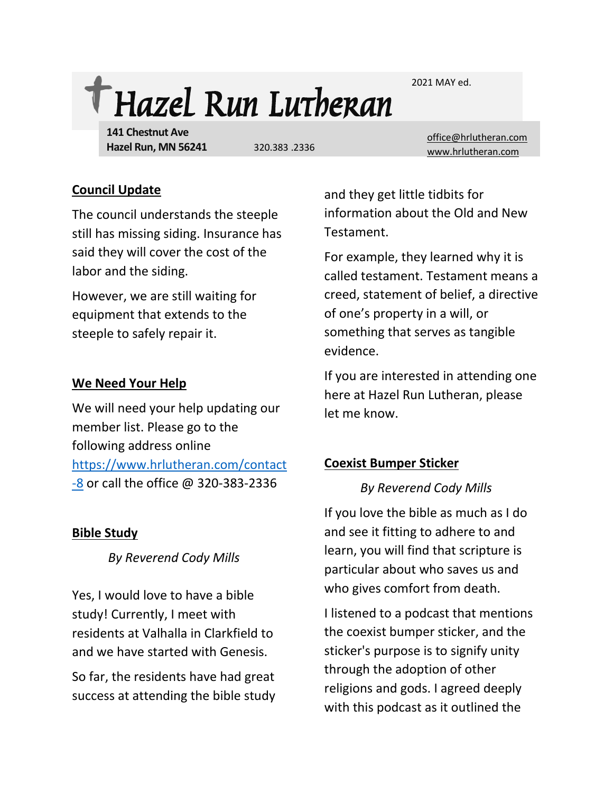2021 MAY ed.



**141 Chestnut Ave Hazel Run, MN 56241**

[office@hrlutheran.com](mailto:office@hrlutheran.com) 320.383 .2336 [www.hrlutheran.com](http://www.hrlutheran.com/)

#### **Council Update**

The council understands the steeple still has missing siding. Insurance has said they will cover the cost of the labor and the siding.

However, we are still waiting for equipment that extends to the steeple to safely repair it.

# **We Need Your Help**

We will need your help updating our member list. Please go to the following address online [https://www.hrlutheran.com/contact](https://www.hrlutheran.com/contact-8)  $-8$  or call the office  $@$  320-383-2336

# **Bible Study**

*By Reverend Cody Mills*

Yes, I would love to have a bible study! Currently, I meet with residents at Valhalla in Clarkfield to and we have started with Genesis.

So far, the residents have had great success at attending the bible study and they get little tidbits for information about the Old and New Testament.

For example, they learned why it is called testament. Testament means a creed, statement of belief, a directive of one's property in a will, or something that serves as tangible evidence.

If you are interested in attending one here at Hazel Run Lutheran, please let me know.

# **Coexist Bumper Sticker**

# *By Reverend Cody Mills*

If you love the bible as much as I do and see it fitting to adhere to and learn, you will find that scripture is particular about who saves us and who gives comfort from death.

I listened to a podcast that mentions the coexist bumper sticker, and the sticker's purpose is to signify unity through the adoption of other religions and gods. I agreed deeply with this podcast as it outlined the